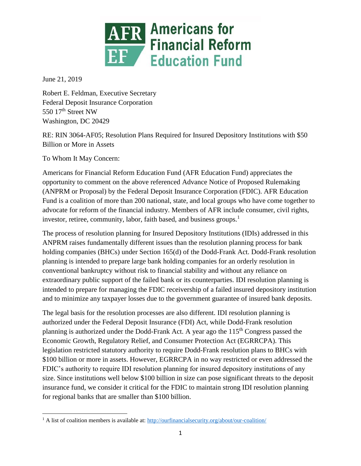

June 21, 2019

Robert E. Feldman, Executive Secretary Federal Deposit Insurance Corporation 550 17<sup>th</sup> Street NW Washington, DC 20429

RE: RIN 3064-AF05; Resolution Plans Required for Insured Depository Institutions with \$50 Billion or More in Assets

To Whom It May Concern:

Americans for Financial Reform Education Fund (AFR Education Fund) appreciates the opportunity to comment on the above referenced Advance Notice of Proposed Rulemaking (ANPRM or Proposal) by the Federal Deposit Insurance Corporation (FDIC). AFR Education Fund is a coalition of more than 200 national, state, and local groups who have come together to advocate for reform of the financial industry. Members of AFR include consumer, civil rights, investor, retiree, community, labor, faith based, and business groups.<sup>1</sup>

The process of resolution planning for Insured Depository Institutions (IDIs) addressed in this ANPRM raises fundamentally different issues than the resolution planning process for bank holding companies (BHCs) under Section 165(d) of the Dodd-Frank Act. Dodd-Frank resolution planning is intended to prepare large bank holding companies for an orderly resolution in conventional bankruptcy without risk to financial stability and without any reliance on extraordinary public support of the failed bank or its counterparties. IDI resolution planning is intended to prepare for managing the FDIC receivership of a failed insured depository institution and to minimize any taxpayer losses due to the government guarantee of insured bank deposits.

The legal basis for the resolution processes are also different. IDI resolution planning is authorized under the Federal Deposit Insurance (FDI) Act, while Dodd-Frank resolution planning is authorized under the Dodd-Frank Act. A year ago the 115<sup>th</sup> Congress passed the Economic Growth, Regulatory Relief, and Consumer Protection Act (EGRRCPA). This legislation restricted statutory authority to require Dodd-Frank resolution plans to BHCs with \$100 billion or more in assets. However, EGRRCPA in no way restricted or even addressed the FDIC's authority to require IDI resolution planning for insured depository institutions of any size. Since institutions well below \$100 billion in size can pose significant threats to the deposit insurance fund, we consider it critical for the FDIC to maintain strong IDI resolution planning for regional banks that are smaller than \$100 billion.

 $\overline{\phantom{a}}$ <sup>1</sup> A list of coalition members is available at:<http://ourfinancialsecurity.org/about/our-coalition/>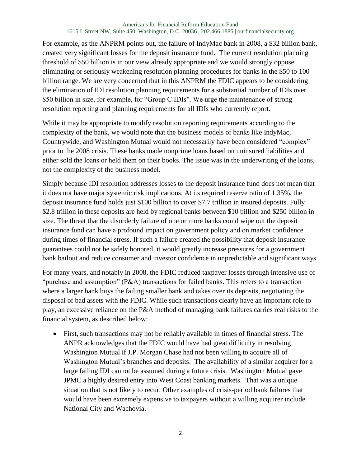For example, as the ANPRM points out, the failure of IndyMac bank in 2008, a \$32 billion bank, created very significant losses for the deposit insurance fund. The current resolution planning threshold of \$50 billion is in our view already appropriate and we would strongly oppose eliminating or seriously weakening resolution planning procedures for banks in the \$50 to 100 billion range. We are very concerned that in this ANPRM the FDIC appears to be considering the elimination of IDI resolution planning requirements for a substantial number of IDIs over \$50 billion in size, for example, for "Group C IDIs". We urge the maintenance of strong resolution reporting and planning requirements for all IDIs who currently report.

While it may be appropriate to modify resolution reporting requirements according to the complexity of the bank, we would note that the business models of banks like IndyMac, Countrywide, and Washington Mutual would not necessarily have been considered "complex" prior to the 2008 crisis. These banks made nonprime loans based on uninsured liabilities and either sold the loans or held them on their books. The issue was in the underwriting of the loans, not the complexity of the business model.

Simply because IDI resolution addresses losses to the deposit insurance fund does not mean that it does not have major systemic risk implications. At its required reserve ratio of 1.35%, the deposit insurance fund holds just \$100 billion to cover \$7.7 trillion in insured deposits. Fully \$2.8 trillion in these deposits are held by regional banks between \$10 billion and \$250 billion in size. The threat that the disorderly failure of one or more banks could wipe out the deposit insurance fund can have a profound impact on government policy and on market confidence during times of financial stress. If such a failure created the possibility that deposit insurance guarantees could not be safely honored, it would greatly increase pressures for a government bank bailout and reduce consumer and investor confidence in unpredictable and significant ways.

For many years, and notably in 2008, the FDIC reduced taxpayer losses through intensive use of "purchase and assumption" (P&A) transactions for failed banks. This refers to a transaction where a larger bank buys the failing smaller bank and takes over its deposits, negotiating the disposal of bad assets with the FDIC. While such transactions clearly have an important role to play, an excessive reliance on the P&A method of managing bank failures carries real risks to the financial system, as described below:

 First, such transactions may not be reliably available in times of financial stress. The ANPR acknowledges that the FDIC would have had great difficulty in resolving Washington Mutual if J.P. Morgan Chase had not been willing to acquire all of Washington Mutual's branches and deposits. The availability of a similar acquirer for a large failing IDI cannot be assumed during a future crisis. Washington Mutual gave JPMC a highly desired entry into West Coast banking markets. That was a unique situation that is not likely to recur. Other examples of crisis-period bank failures that would have been extremely expensive to taxpayers without a willing acquirer include National City and Wachovia.